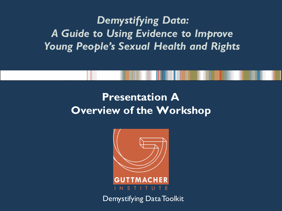#### *Demystifying Data: A Guide to Using Evidence to Improve Young People's Sexual Health and Rights*

#### **Presentation A Overview of the Workshop**



Demystifying Data Toolkit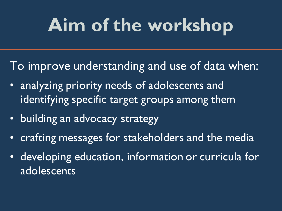# **Aim of the workshop**

- To improve understanding and use of data when:
- analyzing priority needs of adolescents and identifying specific target groups among them
- building an advocacy strategy
- crafting messages for stakeholders and the media
- developing education, information or curricula for adolescents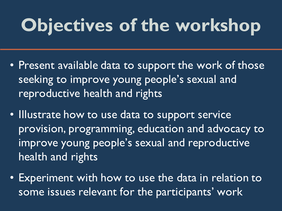# **Objectives of the workshop**

- Present available data to support the work of those seeking to improve young people's sexual and reproductive health and rights
- Illustrate how to use data to support service provision, programming, education and advocacy to improve young people's sexual and reproductive health and rights
- Experiment with how to use the data in relation to some issues relevant for the participants' work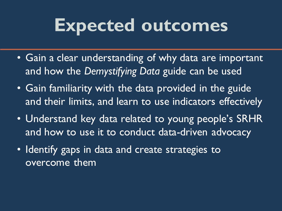### **Expected outcomes**

- Gain a clear understanding of why data are important and how the *Demystifying Data* guide can be used
- Gain familiarity with the data provided in the guide and their limits, and learn to use indicators effectively
- Understand key data related to young people's SRHR and how to use it to conduct data-driven advocacy
- Identify gaps in data and create strategies to overcome them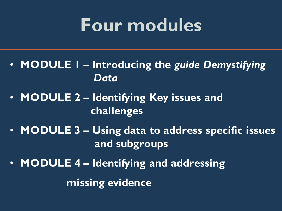### **Four modules**

- **MODULE 1 – Introducing the** *guide Demystifying Data*
- **MODULE 2 – Identifying Key issues and challenges**
- **MODULE 3 – Using data to address specific issues and subgroups**
- **MODULE 4 – Identifying and addressing missing evidence**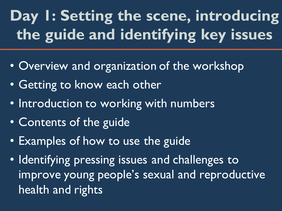### **Day 1: Setting the scene, introducing the guide and identifying key issues**

- Overview and organization of the workshop
- Getting to know each other
- Introduction to working with numbers
- Contents of the guide
- Examples of how to use the guide
- Identifying pressing issues and challenges to improve young people's sexual and reproductive health and rights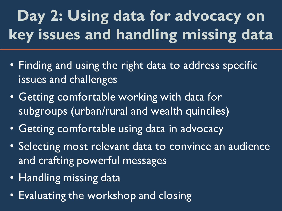### **Day 2: Using data for advocacy on key issues and handling missing data**

- Finding and using the right data to address specific issues and challenges
- Getting comfortable working with data for subgroups (urban/rural and wealth quintiles)
- Getting comfortable using data in advocacy
- Selecting most relevant data to convince an audience and crafting powerful messages
- Handling missing data
- Evaluating the workshop and closing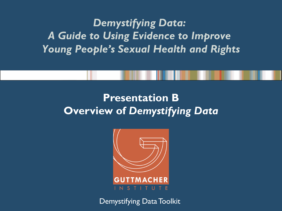#### *Demystifying Data: A Guide to Using Evidence to Improve Young People's Sexual Health and Rights*

#### **Presentation B Overview of** *Demystifying Data*



Demystifying Data Toolkit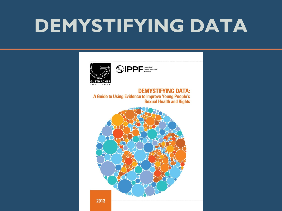# **DEMYSTIFYING DATA**



**DEMYSTIFYING DATA:** A Guide to Using Evidence to Improve Young People's **Sexual Health and Rights** 

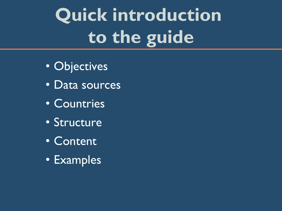# **Quick introduction to the guide**

- Objectives
- Data sources
- Countries
- Structure
- Content
- Examples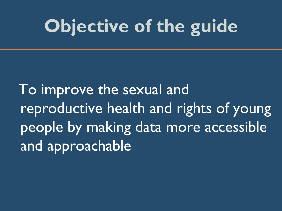# **Objective of the guide**

 To improve the sexual and reproductive health and rights of young people by making data more accessible and approachable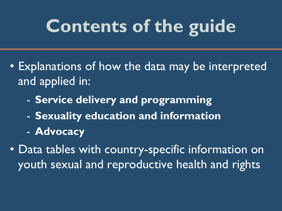# **Contents of the guide**

- Explanations of how the data may be interpreted and applied in:
	- **Service delivery and programming**
	- **Sexuality education and information**
	- **Advocacy**
- Data tables with country-specific information on youth sexual and reproductive health and rights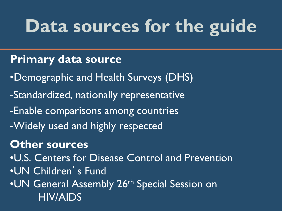# **Data sources for the guide**

#### **Primary data source**

- •Demographic and Health Surveys (DHS)
- -Standardized, nationally representative
- -Enable comparisons among countries
- -Widely used and highly respected

#### **Other sources**

•U.S. Centers for Disease Control and Prevention •UN Children's Fund •UN General Assembly 26<sup>th</sup> Special Session on HIV/AIDS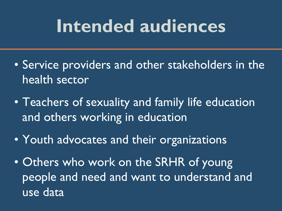### **Intended audiences**

- Service providers and other stakeholders in the health sector
- Teachers of sexuality and family life education and others working in education
- Youth advocates and their organizations
- Others who work on the SRHR of young people and need and want to understand and use data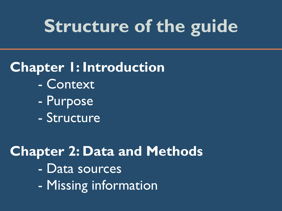### **Structure of the guide**

#### **Chapter 1: Introduction**

- Context
- Purpose
- Structure

#### **Chapter 2: Data and Methods**  - Data sources - Missing information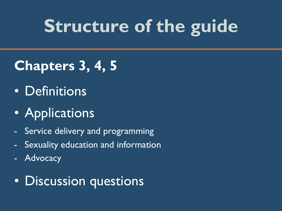## **Structure of the guide**

#### **Chapters 3, 4, 5**

- Definitions
- Applications
- Service delivery and programming
- Sexuality education and information
- **Advocacy**

#### • Discussion questions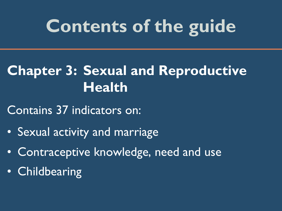## **Contents of the guide**

#### **Chapter 3: Sexual and Reproductive Health**

Contains 37 indicators on:

- Sexual activity and marriage
- Contraceptive knowledge, need and use
- Childbearing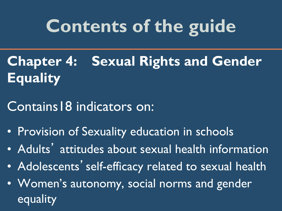# **Contents of the guide**

- **Chapter 4: Sexual Rights and Gender Equality**
- Contains18 indicators on:
- Provision of Sexuality education in schools
- Adults' attitudes about sexual health information
- Adolescents' self-efficacy related to sexual health
- Women's autonomy, social norms and gender equality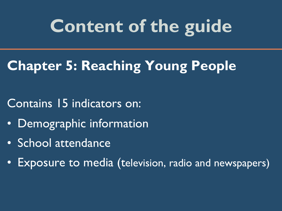## **Content of the guide**

#### **Chapter 5: Reaching Young People**

- Contains 15 indicators on:
- Demographic information
- School attendance
- Exposure to media (television, radio and newspapers)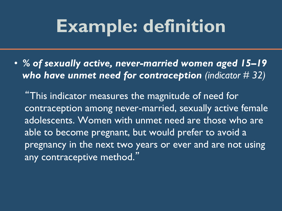### **Example: definition**

• *% of sexually active, never-married women aged 15–19 who have unmet need for contraception (indicator # 32)*

"This indicator measures the magnitude of need for contraception among never-married, sexually active female adolescents. Women with unmet need are those who are able to become pregnant, but would prefer to avoid a pregnancy in the next two years or ever and are not using any contraceptive method."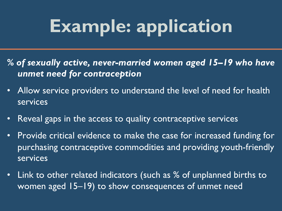# **Example: application**

- *% of sexually active, never-married women aged 15–19 who have unmet need for contraception*
- Allow service providers to understand the level of need for health services
- Reveal gaps in the access to quality contraceptive services
- Provide critical evidence to make the case for increased funding for purchasing contraceptive commodities and providing youth-friendly services
- Link to other related indicators (such as % of unplanned births to women aged 15–19) to show consequences of unmet need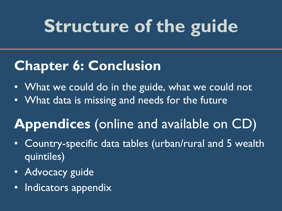# **Structure of the guide**

#### **Chapter 6: Conclusion**

- What we could do in the guide, what we could not
- What data is missing and needs for the future

#### **Appendices** (online and available on CD)

- Country-specific data tables (urban/rural and 5 wealth quintiles)
- Advocacy guide
- Indicators appendix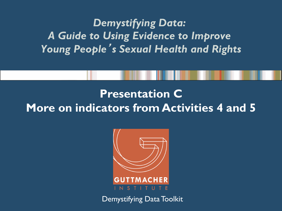*Demystifying Data: A Guide to Using Evidence to Improve Young People*'*s Sexual Health and Rights* 

#### **Presentation C More on indicators from Activities 4 and 5**



Demystifying Data Toolkit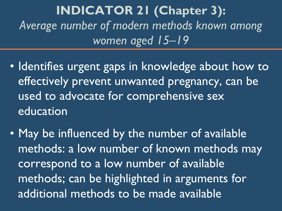**INDICATOR 21 (Chapter 3):**  *Average number of modern methods known among women aged 15–19*

- Identifies urgent gaps in knowledge about how to effectively prevent unwanted pregnancy, can be used to advocate for comprehensive sex education
- May be influenced by the number of available methods: a low number of known methods may correspond to a low number of available methods; can be highlighted in arguments for additional methods to be made available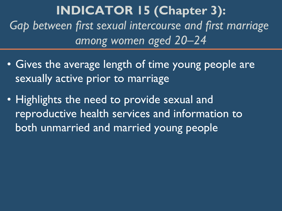**INDICATOR 15 (Chapter 3):**  *Gap between first sexual intercourse and first marriage among women aged 20–24*

- Gives the average length of time young people are sexually active prior to marriage
- Highlights the need to provide sexual and reproductive health services and information to both unmarried and married young people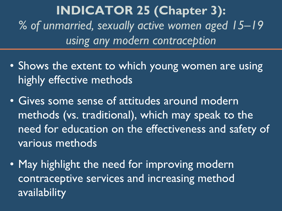**INDICATOR 25 (Chapter 3):**  *% of unmarried, sexually active women aged 15–19 using any modern contraception*

- Shows the extent to which young women are using highly effective methods
- Gives some sense of attitudes around modern methods (vs. traditional), which may speak to the need for education on the effectiveness and safety of various methods
- May highlight the need for improving modern contraceptive services and increasing method availability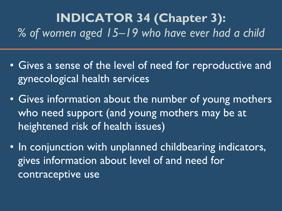#### **INDICATOR 34 (Chapter 3):** *% of women aged 15–19 who have ever had a child*

- Gives a sense of the level of need for reproductive and gynecological health services
- Gives information about the number of young mothers who need support (and young mothers may be at heightened risk of health issues)
- In conjunction with unplanned childbearing indicators, gives information about level of and need for contraceptive use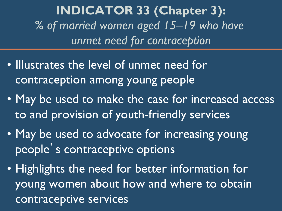**INDICATOR 33 (Chapter 3):**  *% of married women aged 15–19 who have unmet need for contraception*

- Illustrates the level of unmet need for contraception among young people
- May be used to make the case for increased access to and provision of youth-friendly services
- May be used to advocate for increasing young people's contraceptive options
- Highlights the need for better information for young women about how and where to obtain contraceptive services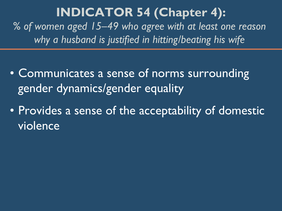#### **INDICATOR 54 (Chapter 4):**

*% of women aged 15–49 who agree with at least one reason why a husband is justified in hitting/beating his wife* 

- Communicates a sense of norms surrounding gender dynamics/gender equality
- Provides a sense of the acceptability of domestic violence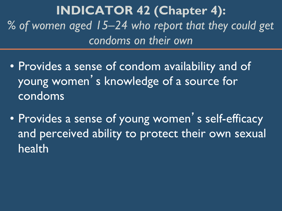**INDICATOR 42 (Chapter 4):**  *% of women aged 15–24 who report that they could get condoms on their own*

- Provides a sense of condom availability and of young women 's knowledge of a source for condoms
- Provides a sense of young women's self-efficacy and perceived ability to protect their own sexual health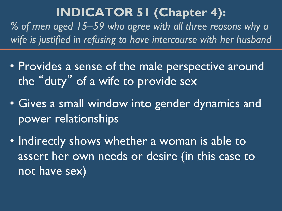#### **INDICATOR 51 (Chapter 4):**

*% of men aged 15–59 who agree with all three reasons why a wife is justified in refusing to have intercourse with her husband*

- Provides a sense of the male perspective around the "duty" of a wife to provide sex
- Gives a small window into gender dynamics and power relationships
- Indirectly shows whether a woman is able to assert her own needs or desire (in this case to not have sex)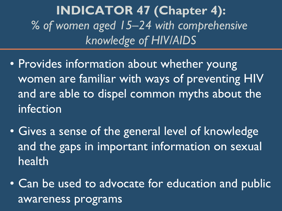**INDICATOR 47 (Chapter 4):**  *% of women aged 15–24 with comprehensive knowledge of HIV/AIDS*

- Provides information about whether young women are familiar with ways of preventing HIV and are able to dispel common myths about the infection
- Gives a sense of the general level of knowledge and the gaps in important information on sexual health
- Can be used to advocate for education and public awareness programs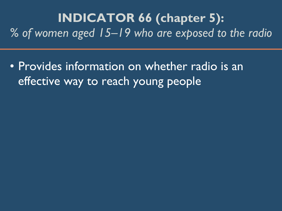**INDICATOR 66 (chapter 5):**  *% of women aged 15–19 who are exposed to the radio*

• Provides information on whether radio is an effective way to reach young people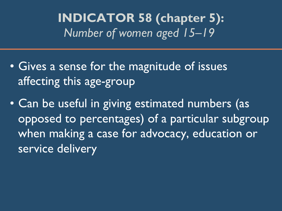**INDICATOR 58 (chapter 5):**  *Number of women aged 15–19* 

- Gives a sense for the magnitude of issues affecting this age-group
- Can be useful in giving estimated numbers (as opposed to percentages) of a particular subgroup when making a case for advocacy, education or service delivery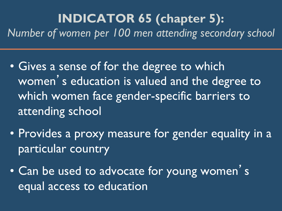#### **INDICATOR 65 (chapter 5):**  *Number of women per 100 men attending secondary school*

- Gives a sense of for the degree to which women 's education is valued and the degree to which women face gender-specific barriers to attending school
- Provides a proxy measure for gender equality in a particular country
- Can be used to advocate for young women's equal access to education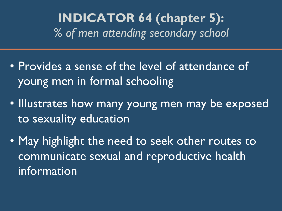**INDICATOR 64 (chapter 5):**  *% of men attending secondary school*

- Provides a sense of the level of attendance of young men in formal schooling
- Illustrates how many young men may be exposed to sexuality education
- May highlight the need to seek other routes to communicate sexual and reproductive health information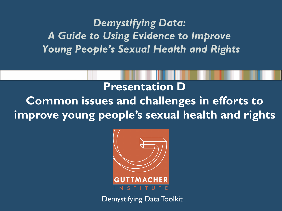*Demystifying Data: A Guide to Using Evidence to Improve Young People's Sexual Health and Rights* 

**Presentation D Common issues and challenges in efforts to improve young people's sexual health and rights**



Demystifying Data Toolkit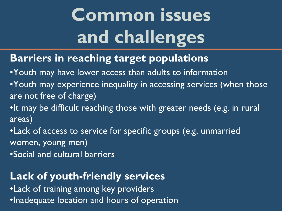# **Common issues and challenges**

#### **Barriers in reaching target populations**

•Youth may have lower access than adults to information •Youth may experience inequality in accessing services (when those are not free of charge)

•It may be difficult reaching those with greater needs (e.g. in rural areas)

•Lack of access to service for specific groups (e.g. unmarried women, young men)

•Social and cultural barriers

#### **Lack of youth-friendly services**

•Lack of training among key providers •Inadequate location and hours of operation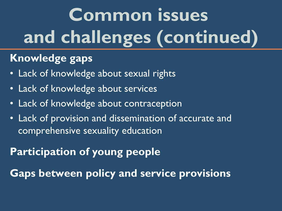# **Common issues and challenges (continued)**

#### **Knowledge gaps**

- Lack of knowledge about sexual rights
- Lack of knowledge about services
- Lack of knowledge about contraception
- Lack of provision and dissemination of accurate and comprehensive sexuality education

#### **Participation of young people**

**Gaps between policy and service provisions**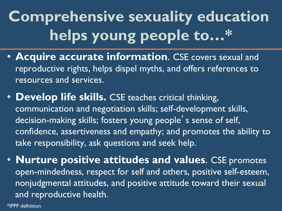## **Comprehensive sexuality education helps young people to…\***

- **Acquire accurate information**. CSE covers sexual and reproductive rights, helps dispel myths, and offers references to resources and services.
- **Develop life skills.** CSE teaches critical thinking, communication and negotiation skills; self-development skills, decision-making skills; fosters young people's sense of self, confidence, assertiveness and empathy; and promotes the ability to take responsibility, ask questions and seek help.
- **Nurture positive attitudes and values**. CSE promotes open-mindedness, respect for self and others, positive self-esteem, nonjudgmental attitudes, and positive attitude toward their sexual and reproductive health.

\*IPPF definition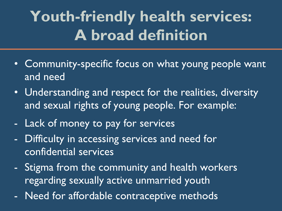### **Youth-friendly health services: A broad definition**

- Community-specific focus on what young people want and need
- Understanding and respect for the realities, diversity and sexual rights of young people. For example:
- Lack of money to pay for services
- Difficulty in accessing services and need for confidential services
- Stigma from the community and health workers regarding sexually active unmarried youth
- Need for affordable contraceptive methods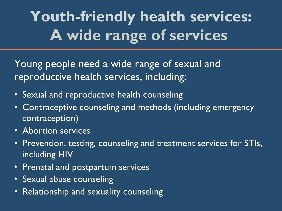## **Youth-friendly health services: A wide range of services**

Young people need a wide range of sexual and reproductive health services, including:

- Sexual and reproductive health counseling
- Contraceptive counseling and methods (including emergency contraception)
- Abortion services
- Prevention, testing, counseling and treatment services for STIs, including HIV
- Prenatal and postpartum services
- Sexual abuse counseling
- Relationship and sexuality counseling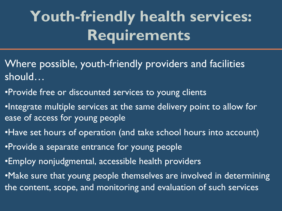### **Youth-friendly health services: Requirements**

- Where possible, youth-friendly providers and facilities should…
- •Provide free or discounted services to young clients
- •Integrate multiple services at the same delivery point to allow for ease of access for young people
- •Have set hours of operation (and take school hours into account)
- •Provide a separate entrance for young people
- •Employ nonjudgmental, accessible health providers
- •Make sure that young people themselves are involved in determining the content, scope, and monitoring and evaluation of such services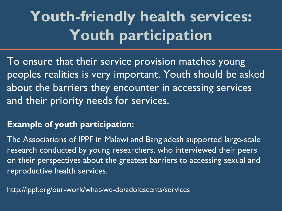## **Youth-friendly health services: Youth participation**

To ensure that their service provision matches young peoples realities is very important. Youth should be asked about the barriers they encounter in accessing services and their priority needs for services.

#### **Example of youth participation:**

The Associations of IPPF in Malawi and Bangladesh supported large-scale research conducted by young researchers, who interviewed their peers on their perspectives about the greatest barriers to accessing sexual and reproductive health services.

http://ippf.org/our-work/what-we-do/adolescents/services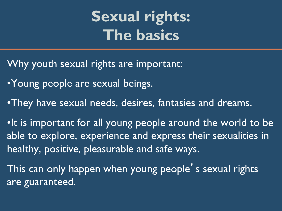### **Sexual rights: The basics**

- Why youth sexual rights are important:
- •Young people are sexual beings.
- •They have sexual needs, desires, fantasies and dreams.

•It is important for all young people around the world to be able to explore, experience and express their sexualities in healthy, positive, pleasurable and safe ways.

This can only happen when young people's sexual rights are guaranteed.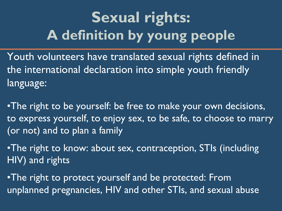### **Sexual rights: A definition by young people**

Youth volunteers have translated sexual rights defined in the international declaration into simple youth friendly language:

•The right to be yourself: be free to make your own decisions, to express yourself, to enjoy sex, to be safe, to choose to marry (or not) and to plan a family

•The right to know: about sex, contraception, STIs (including HIV) and rights

•The right to protect yourself and be protected: From unplanned pregnancies, HIV and other STIs, and sexual abuse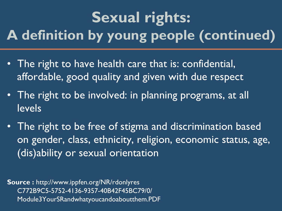### **Sexual rights: A definition by young people (continued)**

- The right to have health care that is: confidential, affordable, good quality and given with due respect
- The right to be involved: in planning programs, at all levels
- The right to be free of stigma and discrimination based on gender, class, ethnicity, religion, economic status, age, (dis)ability or sexual orientation

**Source :** http://www.ippfen.org/NR/rdonlyres C772B9C5-5752-4136-9357-40B42F45BC79/0/ Module3YourSRandwhatyoucandoaboutthem.PDF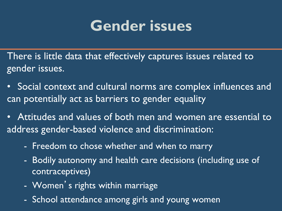### **Gender issues**

There is little data that effectively captures issues related to gender issues.

- Social context and cultural norms are complex influences and can potentially act as barriers to gender equality
- Attitudes and values of both men and women are essential to address gender-based violence and discrimination:
	- Freedom to chose whether and when to marry
	- Bodily autonomy and health care decisions (including use of contraceptives)
	- Women's rights within marriage
	- School attendance among girls and young women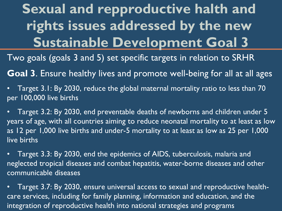**Sexual and repproductive halth and rights issues addressed by the new Sustainable Development Goal 3** 

Two goals (goals 3 and 5) set specific targets in relation to SRHR

**Goal 3**. Ensure healthy lives and promote well-being for all at all ages

• Target 3.1: By 2030, reduce the global maternal mortality ratio to less than 70 per 100,000 live births

• Target 3.2: By 2030, end preventable deaths of newborns and children under 5 years of age, with all countries aiming to reduce neonatal mortality to at least as low as 12 per 1,000 live births and under-5 mortality to at least as low as 25 per 1,000 live births

• Target 3.3: By 2030, end the epidemics of AIDS, tuberculosis, malaria and neglected tropical diseases and combat hepatitis, water-borne diseases and other communicable diseases

• Target 3.7: By 2030, ensure universal access to sexual and reproductive healthcare services, including for family planning, information and education, and the integration of reproductive health into national strategies and programs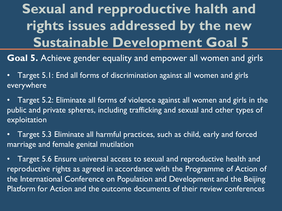**Sexual and repproductive halth and rights issues addressed by the new Sustainable Development Goal 5** 

**Goal 5.** Achieve gender equality and empower all women and girls

- Target 5.1: End all forms of discrimination against all women and girls everywhere
- Target 5.2: Eliminate all forms of violence against all women and girls in the public and private spheres, including trafficking and sexual and other types of exploitation
- Target 5.3 Eliminate all harmful practices, such as child, early and forced marriage and female genital mutilation
- Target 5.6 Ensure universal access to sexual and reproductive health and reproductive rights as agreed in accordance with the Programme of Action of the International Conference on Population and Development and the Beijing Platform for Action and the outcome documents of their review conferences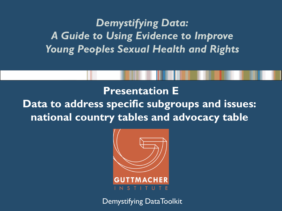*Demystifying Data: A Guide to Using Evidence to Improve Young Peoples Sexual Health and Rights*

**Presentation E Data to address specific subgroups and issues: national country tables and advocacy table** 



Demystifying DataToolkit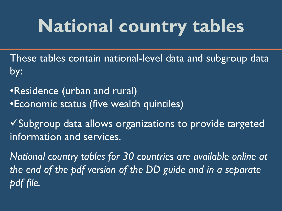These tables contain national-level data and subgroup data by:

•Residence (urban and rural) •Economic status (five wealth quintiles)

 $\sqrt{2}$ Subgroup data allows organizations to provide targeted information and services.

*National country tables for 30 countries are available online at the end of the pdf version of the DD guide and in a separate pdf file.*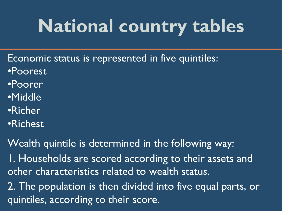- Economic status is represented in five quintiles:
- •Poorest
- •Poorer
- •Middle
- •Richer
- •Richest

Wealth quintile is determined in the following way: 1. Households are scored according to their assets and other characteristics related to wealth status. 2. The population is then divided into five equal parts, or quintiles, according to their score.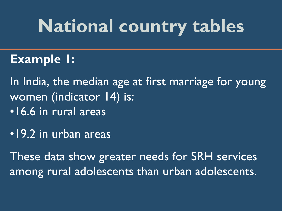#### **Example 1:**

In India, the median age at first marriage for young women (indicator 14) is:

- •16.6 in rural areas
- •19.2 in urban areas

These data show greater needs for SRH services among rural adolescents than urban adolescents.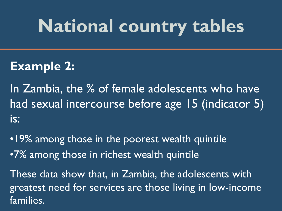#### **Example 2:**

In Zambia, the % of female adolescents who have had sexual intercourse before age 15 (indicator 5) is:

•19% among those in the poorest wealth quintile •7% among those in richest wealth quintile

These data show that, in Zambia, the adolescents with greatest need for services are those living in low-income families.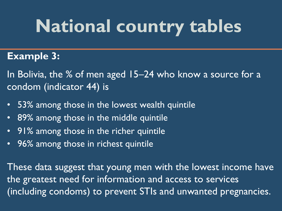#### **Example 3:**

In Bolivia, the % of men aged 15–24 who know a source for a condom (indicator 44) is

- 53% among those in the lowest wealth quintile
- 89% among those in the middle quintile
- 91% among those in the richer quintile
- 96% among those in richest quintile

These data suggest that young men with the lowest income have the greatest need for information and access to services (including condoms) to prevent STIs and unwanted pregnancies.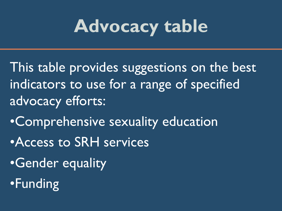- This table provides suggestions on the best indicators to use for a range of specified advocacy efforts:
- •Comprehensive sexuality education
- •Access to SRH services
- •Gender equality
- •Funding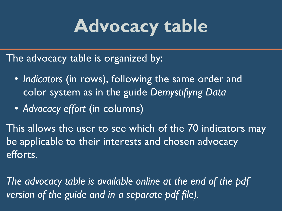The advocacy table is organized by:

- *Indicators* (in rows), following the same order and color system as in the guide *Demystifiyng Data*
- *Advocacy effort* (in columns)

This allows the user to see which of the 70 indicators may be applicable to their interests and chosen advocacy efforts.

*The advocacy table is available online at the end of the pdf version of the guide and in a separate pdf file).*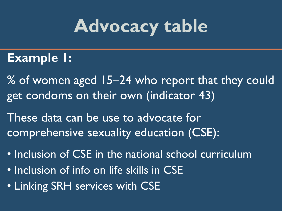#### **Example 1:**

% of women aged 15–24 who report that they could get condoms on their own (indicator 43)

These data can be use to advocate for comprehensive sexuality education (CSE):

- Inclusion of CSE in the national school curriculum
- Inclusion of info on life skills in CSE
- Linking SRH services with CSE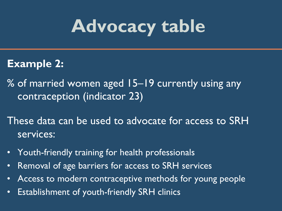#### **Example 2:**

% of married women aged 15–19 currently using any contraception (indicator 23)

These data can be used to advocate for access to SRH services:

- Youth-friendly training for health professionals
- Removal of age barriers for access to SRH services
- Access to modern contraceptive methods for young people
- Establishment of youth-friendly SRH clinics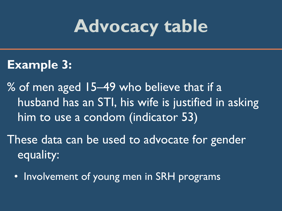#### **Example 3:**

% of men aged 15–49 who believe that if a husband has an STI, his wife is justified in asking him to use a condom (indicator 53)

These data can be used to advocate for gender equality:

• Involvement of young men in SRH programs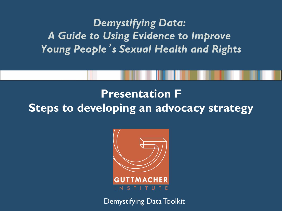#### *Demystifying Data: A Guide to Using Evidence to Improve Young People*'*s Sexual Health and Rights*

#### **Presentation F Steps to developing an advocacy strategy**



Demystifying Data Toolkit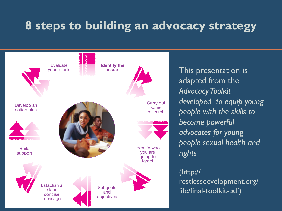### **8 steps to building an advocacy strategy**



This presentation is adapted from the *Advocacy Toolkit developed to equip young people with the skills to become powerful advocates for young people sexual health and rights* 

#### (http://

restlessdevelopment.org/ file/final-toolkit-pdf)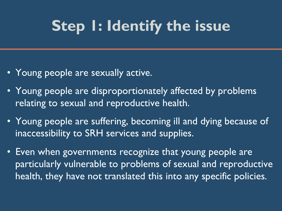### **Step 1: Identify the issue**

- Young people are sexually active.
- Young people are disproportionately affected by problems relating to sexual and reproductive health.
- Young people are suffering, becoming ill and dying because of inaccessibility to SRH services and supplies.
- Even when governments recognize that young people are particularly vulnerable to problems of sexual and reproductive health, they have not translated this into any specific policies.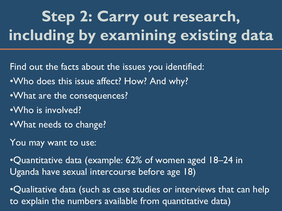# **Step 2: Carry out research, including by examining existing data**

Find out the facts about the issues you identified:

- •Who does this issue affect? How? And why?
- •What are the consequences?
- •Who is involved?
- •What needs to change?
- You may want to use:

•Quantitative data (example: 62% of women aged 18–24 in Uganda have sexual intercourse before age 18)

•Qualitative data (such as case studies or interviews that can help to explain the numbers available from quantitative data)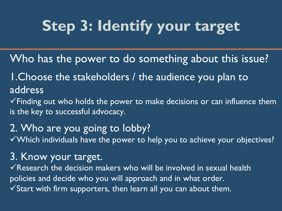### **Step 3: Identify your target**

Who has the power to do something about this issue?

1.Choose the stakeholders / the audience you plan to address

 $\checkmark$  Finding out who holds the power to make decisions or can influence them is the key to successful advocacy.

#### 2. Who are you going to lobby?

 $\sqrt{2}$  Which individuals have the power to help you to achieve your objectives?

#### 3. Know your target.

 $\checkmark$  Research the decision makers who will be involved in sexual health policies and decide who you will approach and in what order.  $\sqrt{s}$  Start with firm supporters, then learn all you can about them.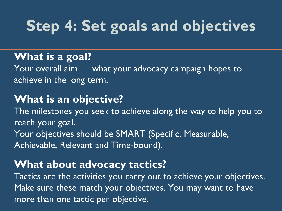### **Step 4: Set goals and objectives**

#### **What is a goal?**

Your overall aim — what your advocacy campaign hopes to achieve in the long term.

#### **What is an objective?**

The milestones you seek to achieve along the way to help you to reach your goal. Your objectives should be SMART (Specific, Measurable, Achievable, Relevant and Time-bound).

#### **What about advocacy tactics?**

Tactics are the activities you carry out to achieve your objectives. Make sure these match your objectives. You may want to have more than one tactic per objective.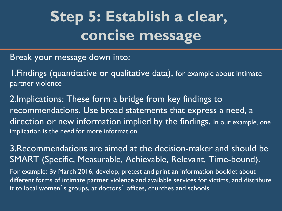### **Step 5: Establish a clear, concise message**

Break your message down into:

1.Findings (quantitative or qualitative data), for example about intimate partner violence

2.Implications: These form a bridge from key findings to recommendations. Use broad statements that express a need, a direction or new information implied by the findings. In our example, one implication is the need for more information.

3.Recommendations are aimed at the decision-maker and should be SMART (Specific, Measurable, Achievable, Relevant, Time-bound).

For example: By March 2016, develop, pretest and print an information booklet about different forms of intimate partner violence and available services for victims, and distribute it to local women's groups, at doctors' offices, churches and schools.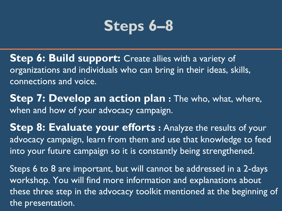

- **Step 6: Build support:** Create allies with a variety of organizations and individuals who can bring in their ideas, skills, connections and voice.
- **Step 7: Develop an action plan :** The who, what, where, when and how of your advocacy campaign.
- **Step 8: Evaluate your efforts :** Analyze the results of your advocacy campaign, learn from them and use that knowledge to feed into your future campaign so it is constantly being strengthened.
- Steps 6 to 8 are important, but will cannot be addressed in a 2-days workshop. You will find more information and explanations about these three step in the advocacy toolkit mentioned at the beginning of the presentation.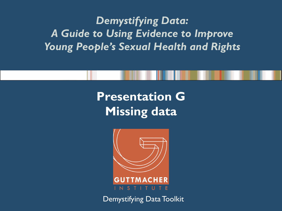#### *Demystifying Data: A Guide to Using Evidence to Improve Young People's Sexual Health and Rights*

### **Presentation G Missing data**



Demystifying Data Toolkit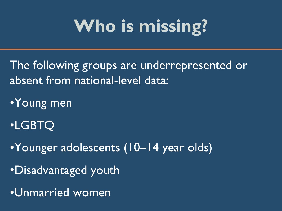# **Who is missing?**

The following groups are underrepresented or absent from national-level data:

•Young men

•LGBTQ

•Younger adolescents (10–14 year olds)

•Disadvantaged youth

•Unmarried women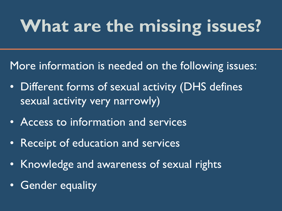# **What are the missing issues?**

More information is needed on the following issues:

- Different forms of sexual activity (DHS defines sexual activity very narrowly)
- Access to information and services
- Receipt of education and services
- Knowledge and awareness of sexual rights
- Gender equality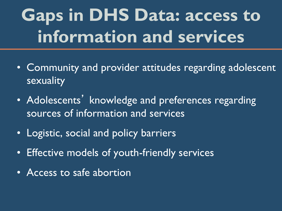## **Gaps in DHS Data: access to information and services**

- Community and provider attitudes regarding adolescent sexuality
- Adolescents' knowledge and preferences regarding sources of information and services
- Logistic, social and policy barriers
- Effective models of youth-friendly services
- Access to safe abortion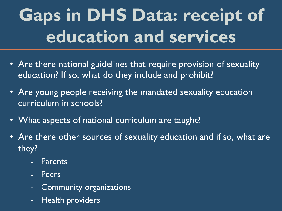## **Gaps in DHS Data: receipt of education and services**

- Are there national guidelines that require provision of sexuality education? If so, what do they include and prohibit?
- Are young people receiving the mandated sexuality education curriculum in schools?
- What aspects of national curriculum are taught?
- Are there other sources of sexuality education and if so, what are they?
	- **Parents**
	- **Peers**
	- Community organizations
	- Health providers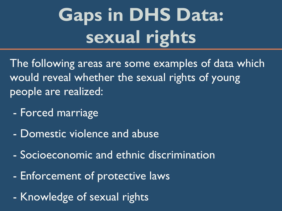## **Gaps in DHS Data: sexual rights**

The following areas are some examples of data which would reveal whether the sexual rights of young people are realized:

- Forced marriage
- Domestic violence and abuse
- Socioeconomic and ethnic discrimination
- Enforcement of protective laws
- Knowledge of sexual rights